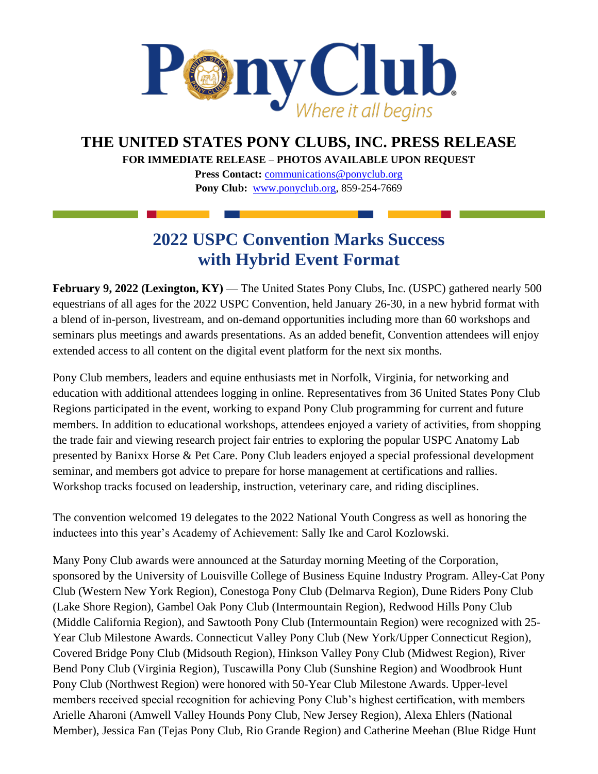

## **THE UNITED STATES PONY CLUBS, INC. PRESS RELEASE**

**FOR IMMEDIATE RELEASE** – **PHOTOS AVAILABLE UPON REQUEST** 

**Press Contact:** *[communications@ponyclub.org](mailto:communications@ponyclub.org)* **Pony Club:** [www.ponyclub.org, 8](http://www.ponyclub.org/)59-254-7669

## **2022 USPC Convention Marks Success with Hybrid Event Format**

**February 9, 2022 (Lexington, KY) — The United States Pony Clubs, Inc. (USPC) gathered nearly 500** equestrians of all ages for the 2022 USPC Convention, held January 26-30, in a new hybrid format with a blend of in-person, livestream, and on-demand opportunities including more than 60 workshops and seminars plus meetings and awards presentations. As an added benefit, Convention attendees will enjoy extended access to all content on the digital event platform for the next six months.

Pony Club members, leaders and equine enthusiasts met in Norfolk, Virginia, for networking and education with additional attendees logging in online. Representatives from 36 United States Pony Club Regions participated in the event, working to expand Pony Club programming for current and future members. In addition to educational workshops, attendees enjoyed a variety of activities, from shopping the trade fair and viewing research project fair entries to exploring the popular USPC Anatomy Lab presented by Banixx Horse & Pet Care. Pony Club leaders enjoyed a special professional development seminar, and members got advice to prepare for horse management at certifications and rallies. Workshop tracks focused on leadership, instruction, veterinary care, and riding disciplines.

The convention welcomed 19 delegates to the 2022 National Youth Congress as well as honoring the inductees into this year's Academy of Achievement: Sally Ike and Carol Kozlowski.

Many Pony Club awards were announced at the Saturday morning Meeting of the Corporation, sponsored by the University of Louisville College of Business Equine Industry Program. Alley-Cat Pony Club (Western New York Region), Conestoga Pony Club (Delmarva Region), Dune Riders Pony Club (Lake Shore Region), Gambel Oak Pony Club (Intermountain Region), Redwood Hills Pony Club (Middle California Region), and Sawtooth Pony Club (Intermountain Region) were recognized with 25- Year Club Milestone Awards. Connecticut Valley Pony Club (New York/Upper Connecticut Region), Covered Bridge Pony Club (Midsouth Region), Hinkson Valley Pony Club (Midwest Region), River Bend Pony Club (Virginia Region), Tuscawilla Pony Club (Sunshine Region) and Woodbrook Hunt Pony Club (Northwest Region) were honored with 50-Year Club Milestone Awards. Upper-level members received special recognition for achieving Pony Club's highest certification, with members Arielle Aharoni (Amwell Valley Hounds Pony Club, New Jersey Region), Alexa Ehlers (National Member), Jessica Fan (Tejas Pony Club, Rio Grande Region) and Catherine Meehan (Blue Ridge Hunt